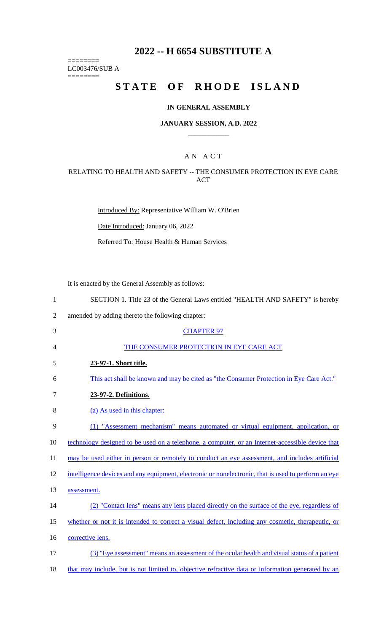# **2022 -- H 6654 SUBSTITUTE A**

LC003476/SUB A

========

========

# **STATE OF RHODE ISLAND**

### **IN GENERAL ASSEMBLY**

#### **JANUARY SESSION, A.D. 2022 \_\_\_\_\_\_\_\_\_\_\_\_**

### A N A C T

### RELATING TO HEALTH AND SAFETY -- THE CONSUMER PROTECTION IN EYE CARE ACT

Introduced By: Representative William W. O'Brien

Date Introduced: January 06, 2022

Referred To: House Health & Human Services

It is enacted by the General Assembly as follows:

| $\mathbf{1}$   | SECTION 1. Title 23 of the General Laws entitled "HEALTH AND SAFETY" is hereby                      |
|----------------|-----------------------------------------------------------------------------------------------------|
| $\overline{2}$ | amended by adding thereto the following chapter:                                                    |
| 3              | <b>CHAPTER 97</b>                                                                                   |
| 4              | THE CONSUMER PROTECTION IN EYE CARE ACT                                                             |
| 5              | 23-97-1. Short title.                                                                               |
| 6              | This act shall be known and may be cited as "the Consumer Protection in Eye Care Act."              |
| $\tau$         | 23-97-2. Definitions.                                                                               |
| 8              | (a) As used in this chapter:                                                                        |
| 9              | (1) "Assessment mechanism" means automated or virtual equipment, application, or                    |
| 10             | technology designed to be used on a telephone, a computer, or an Internet-accessible device that    |
| 11             | may be used either in person or remotely to conduct an eye assessment, and includes artificial      |
| 12             | intelligence devices and any equipment, electronic or nonelectronic, that is used to perform an eye |
| 13             | assessment.                                                                                         |
| 14             | (2) "Contact lens" means any lens placed directly on the surface of the eye, regardless of          |
| 15             | whether or not it is intended to correct a visual defect, including any cosmetic, therapeutic, or   |
| 16             | corrective lens.                                                                                    |
| 17             | (3) "Eye assessment" means an assessment of the ocular health and visual status of a patient        |
| 18             | that may include, but is not limited to, objective refractive data or information generated by an   |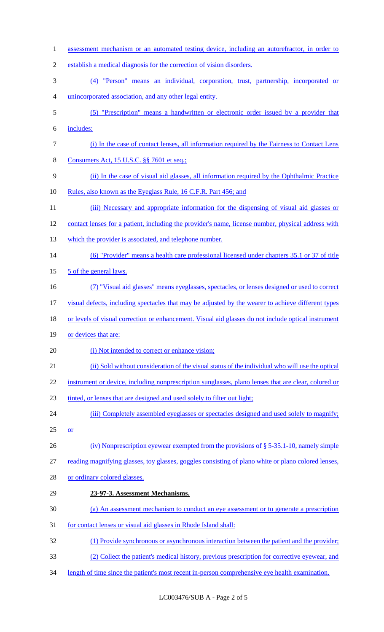1 assessment mechanism or an automated testing device, including an autorefractor, in order to establish a medical diagnosis for the correction of vision disorders. (4) "Person" means an individual, corporation, trust, partnership, incorporated or unincorporated association, and any other legal entity. (5) "Prescription" means a handwritten or electronic order issued by a provider that includes: (i) In the case of contact lenses, all information required by the Fairness to Contact Lens 8 Consumers Act, 15 U.S.C. §§ 7601 et seq.; (ii) In the case of visual aid glasses, all information required by the Ophthalmic Practice 10 Rules, also known as the Eyeglass Rule, 16 C.F.R. Part 456; and 11 (iii) Necessary and appropriate information for the dispensing of visual aid glasses or 12 contact lenses for a patient, including the provider's name, license number, physical address with 13 which the provider is associated, and telephone number. (6) "Provider" means a health care professional licensed under chapters 35.1 or 37 of title 15 5 of the general laws. (7) "Visual aid glasses" means eyeglasses, spectacles, or lenses designed or used to correct visual defects, including spectacles that may be adjusted by the wearer to achieve different types 18 or levels of visual correction or enhancement. Visual aid glasses do not include optical instrument 19 or devices that are: 20 (i) Not intended to correct or enhance vision; (ii) Sold without consideration of the visual status of the individual who will use the optical 22 instrument or device, including nonprescription sunglasses, plano lenses that are clear, colored or tinted, or lenses that are designed and used solely to filter out light; 24 (iii) Completely assembled eyeglasses or spectacles designed and used solely to magnify;  $25 \quad or$  (iv) Nonprescription eyewear exempted from the provisions of § 5-35.1-10, namely simple reading magnifying glasses, toy glasses, goggles consisting of plano white or plano colored lenses, or ordinary colored glasses. **23-97-3. Assessment Mechanisms.**  (a) An assessment mechanism to conduct an eye assessment or to generate a prescription for contact lenses or visual aid glasses in Rhode Island shall: (1) Provide synchronous or asynchronous interaction between the patient and the provider; (2) Collect the patient's medical history, previous prescription for corrective eyewear, and length of time since the patient's most recent in-person comprehensive eye health examination.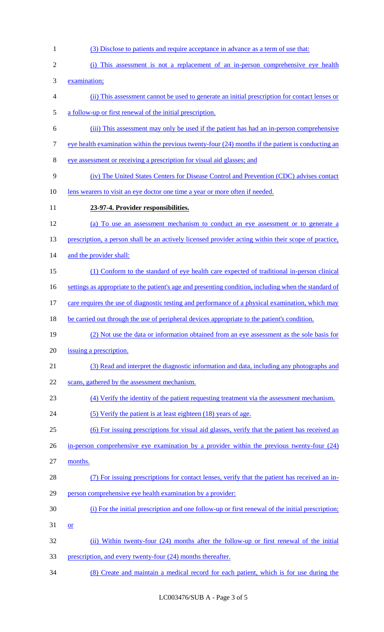(i) This assessment is not a replacement of an in-person comprehensive eye health examination; (ii) This assessment cannot be used to generate an initial prescription for contact lenses or a follow-up or first renewal of the initial prescription. (iii) This assessment may only be used if the patient has had an in-person comprehensive 7 eye health examination within the previous twenty-four (24) months if the patient is conducting an eye assessment or receiving a prescription for visual aid glasses; and (iv) The United States Centers for Disease Control and Prevention (CDC) advises contact 10 lens wearers to visit an eye doctor one time a year or more often if needed. **23-97-4. Provider responsibilities.**  (a) To use an assessment mechanism to conduct an eye assessment or to generate a 13 prescription, a person shall be an actively licensed provider acting within their scope of practice, 14 and the provider shall: (1) Conform to the standard of eye health care expected of traditional in-person clinical 16 settings as appropriate to the patient's age and presenting condition, including when the standard of 17 care requires the use of diagnostic testing and performance of a physical examination, which may 18 be carried out through the use of peripheral devices appropriate to the patient's condition. (2) Not use the data or information obtained from an eye assessment as the sole basis for issuing a prescription. (3) Read and interpret the diagnostic information and data, including any photographs and 22 scans, gathered by the assessment mechanism. (4) Verify the identity of the patient requesting treatment via the assessment mechanism. 24 (5) Verify the patient is at least eighteen (18) years of age. (6) For issuing prescriptions for visual aid glasses, verify that the patient has received an 26 in-person comprehensive eye examination by a provider within the previous twenty-four (24)

(3) Disclose to patients and require acceptance in advance as a term of use that:

- months.
- (7) For issuing prescriptions for contact lenses, verify that the patient has received an in-person comprehensive eye health examination by a provider:
- (i) For the initial prescription and one follow-up or first renewal of the initial prescription;
- or
- (ii) Within twenty-four (24) months after the follow-up or first renewal of the initial
- 33 prescription, and every twenty-four (24) months thereafter.
- (8) Create and maintain a medical record for each patient, which is for use during the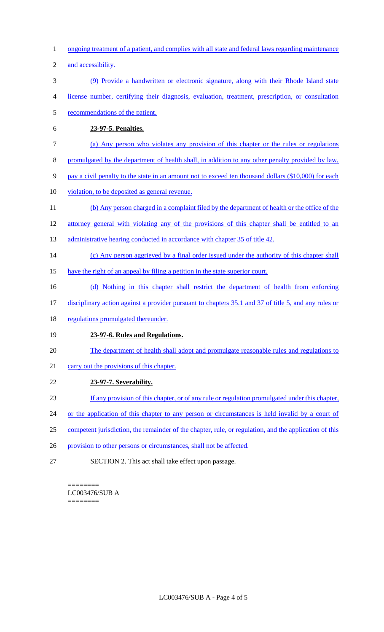- 1 ongoing treatment of a patient, and complies with all state and federal laws regarding maintenance
- 2 and accessibility.
- 3 (9) Provide a handwritten or electronic signature, along with their Rhode Island state
- 4 license number, certifying their diagnosis, evaluation, treatment, prescription, or consultation
- 5 recommendations of the patient.
- 6 **23-97-5. Penalties.**
- 7 (a) Any person who violates any provision of this chapter or the rules or regulations
- 8 promulgated by the department of health shall, in addition to any other penalty provided by law,
- 9 pay a civil penalty to the state in an amount not to exceed ten thousand dollars (\$10,000) for each
- 10 violation, to be deposited as general revenue.
- 11 (b) Any person charged in a complaint filed by the department of health or the office of the
- 12 attorney general with violating any of the provisions of this chapter shall be entitled to an
- 13 administrative hearing conducted in accordance with chapter 35 of title 42.
- 14 (c) Any person aggrieved by a final order issued under the authority of this chapter shall
- 15 have the right of an appeal by filing a petition in the state superior court.
- 16 (d) Nothing in this chapter shall restrict the department of health from enforcing
- 17 disciplinary action against a provider pursuant to chapters 35.1 and 37 of title 5, and any rules or
- 18 regulations promulgated thereunder.

# 19 **23-97-6. Rules and Regulations.**

- 20 The department of health shall adopt and promulgate reasonable rules and regulations to
- 21 carry out the provisions of this chapter.
- 22 **23-97-7. Severability.**
- 23 If any provision of this chapter, or of any rule or regulation promulgated under this chapter,
- 24 or the application of this chapter to any person or circumstances is held invalid by a court of
- 25 competent jurisdiction, the remainder of the chapter, rule, or regulation, and the application of this
- 26 provision to other persons or circumstances, shall not be affected.
- 27 SECTION 2. This act shall take effect upon passage.

======== LC003476/SUB A ========